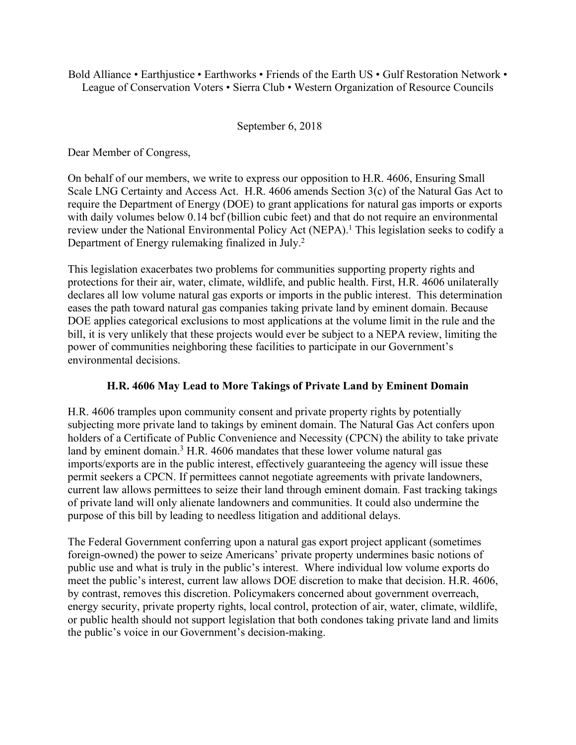Bold Alliance • Earthjustice • Earthworks • Friends of the Earth US • Gulf Restoration Network • League of Conservation Voters • Sierra Club • Western Organization of Resource Councils

## September 6, 2018

Dear Member of Congress,

On behalf of our members, we write to express our opposition to H.R. 4606, Ensuring Small Scale LNG Certainty and Access Act. H.R. 4606 amends Section 3(c) of the Natural Gas Act to require the Department of Energy (DOE) to grant applications for natural gas imports or exports with daily volumes below 0.14 bcf (billion cubic feet) and that do not require an environmental review under the National Environmental Policy Act (NEPA). <sup>1</sup> This legislation seeks to codify a Department of Energy rulemaking finalized in July.<sup>2</sup>

This legislation exacerbates two problems for communities supporting property rights and protections for their air, water, climate, wildlife, and public health. First, H.R. 4606 unilaterally declares all low volume natural gas exports or imports in the public interest. This determination eases the path toward natural gas companies taking private land by eminent domain. Because DOE applies categorical exclusions to most applications at the volume limit in the rule and the bill, it is very unlikely that these projects would ever be subject to a NEPA review, limiting the power of communities neighboring these facilities to participate in our Government's environmental decisions.

## **H.R. 4606 May Lead to More Takings of Private Land by Eminent Domain**

H.R. 4606 tramples upon community consent and private property rights by potentially subjecting more private land to takings by eminent domain. The Natural Gas Act confers upon holders of a Certificate of Public Convenience and Necessity (CPCN) the ability to take private land by eminent domain.<sup>3</sup> H.R. 4606 mandates that these lower volume natural gas imports/exports are in the public interest, effectively guaranteeing the agency will issue these permit seekers a CPCN. If permittees cannot negotiate agreements with private landowners, current law allows permittees to seize their land through eminent domain. Fast tracking takings of private land will only alienate landowners and communities. It could also undermine the purpose of this bill by leading to needless litigation and additional delays.

The Federal Government conferring upon a natural gas export project applicant (sometimes foreign-owned) the power to seize Americans' private property undermines basic notions of public use and what is truly in the public's interest. Where individual low volume exports do meet the public's interest, current law allows DOE discretion to make that decision. H.R. 4606, by contrast, removes this discretion. Policymakers concerned about government overreach, energy security, private property rights, local control, protection of air, water, climate, wildlife, or public health should not support legislation that both condones taking private land and limits the public's voice in our Government's decision-making.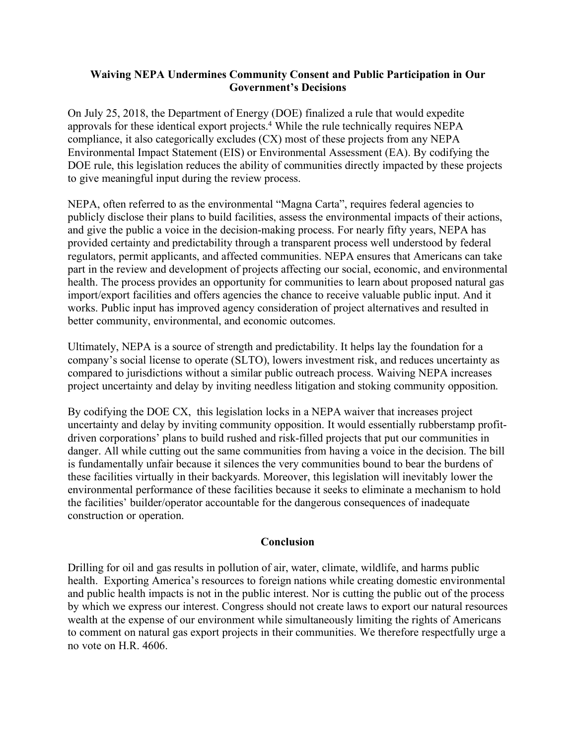## **Waiving NEPA Undermines Community Consent and Public Participation in Our Government's Decisions**

On July 25, 2018, the Department of Energy (DOE) finalized a rule that would expedite approvals for these identical export projects. <sup>4</sup> While the rule technically requires NEPA compliance, it also categorically excludes (CX) most of these projects from any NEPA Environmental Impact Statement (EIS) or Environmental Assessment (EA). By codifying the DOE rule, this legislation reduces the ability of communities directly impacted by these projects to give meaningful input during the review process.

NEPA, often referred to as the environmental "Magna Carta", requires federal agencies to publicly disclose their plans to build facilities, assess the environmental impacts of their actions, and give the public a voice in the decision-making process. For nearly fifty years, NEPA has provided certainty and predictability through a transparent process well understood by federal regulators, permit applicants, and affected communities. NEPA ensures that Americans can take part in the review and development of projects affecting our social, economic, and environmental health. The process provides an opportunity for communities to learn about proposed natural gas import/export facilities and offers agencies the chance to receive valuable public input. And it works. Public input has improved agency consideration of project alternatives and resulted in better community, environmental, and economic outcomes.

Ultimately, NEPA is a source of strength and predictability. It helps lay the foundation for a company's social license to operate (SLTO), lowers investment risk, and reduces uncertainty as compared to jurisdictions without a similar public outreach process. Waiving NEPA increases project uncertainty and delay by inviting needless litigation and stoking community opposition.

By codifying the DOE CX, this legislation locks in a NEPA waiver that increases project uncertainty and delay by inviting community opposition. It would essentially rubberstamp profitdriven corporations' plans to build rushed and risk-filled projects that put our communities in danger. All while cutting out the same communities from having a voice in the decision. The bill is fundamentally unfair because it silences the very communities bound to bear the burdens of these facilities virtually in their backyards. Moreover, this legislation will inevitably lower the environmental performance of these facilities because it seeks to eliminate a mechanism to hold the facilities' builder/operator accountable for the dangerous consequences of inadequate construction or operation.

## **Conclusion**

Drilling for oil and gas results in pollution of air, water, climate, wildlife, and harms public health. Exporting America's resources to foreign nations while creating domestic environmental and public health impacts is not in the public interest. Nor is cutting the public out of the process by which we express our interest. Congress should not create laws to export our natural resources wealth at the expense of our environment while simultaneously limiting the rights of Americans to comment on natural gas export projects in their communities. We therefore respectfully urge a no vote on H.R. 4606.